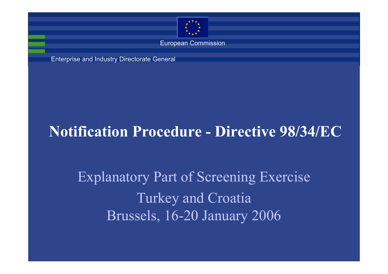

European Commission

Enterprise and Industry Directorate General

### **Notification Procedure - Directive 98/34/EC**

Explanatory Part of Screening Exercise Turkey and Croatia Brussels, 16-20 January 2006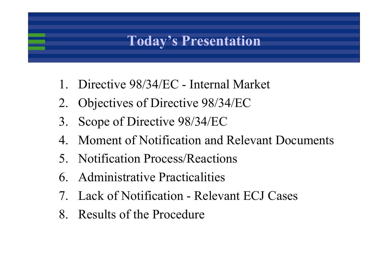### **Today's Presentation**

- 1. Directive 98/34/EC Internal Market
- 2. Objectives of Directive 98/34/EC
- 3. Scope of Directive 98/34/EC
- 4. Moment of Notification and Relevant Documents
- 5. Notification Process/Reactions
- 6. Administrative Practicalities
- 7. Lack of Notification Relevant ECJ Cases
- 8. Results of the Procedure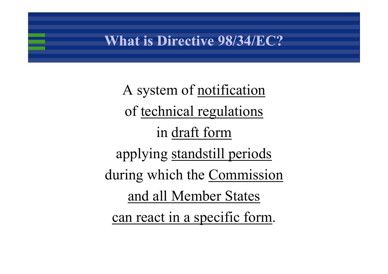#### **What is Directive 98/34/EC?**

A system of notification of technical regulations in draft form applying standstill periods during which the Commission and all Member States can react in a specific form.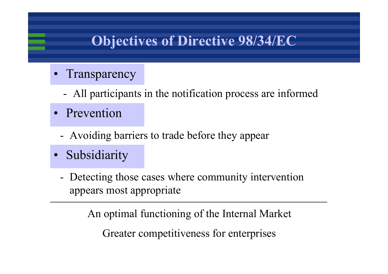## **Objectives of Directive 98/34/EC**

- •**Transparency** 
	- -All participants in the notification process are informed
- Prevention
	- Avoiding barriers to trade before they appear
- Subsidiarity
	- Detecting those cases where community intervention appears most appropriate

An optimal functioning of the Internal Market Greater competitiveness for enterprises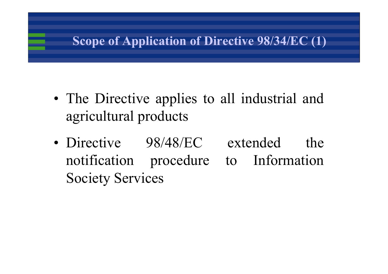#### **Scope of Application of Directive 98/34/EC (1)**

- The Directive applies to all industrial and agricultural products
- Directive 98/48/EC extended the notification procedure to Information Society Services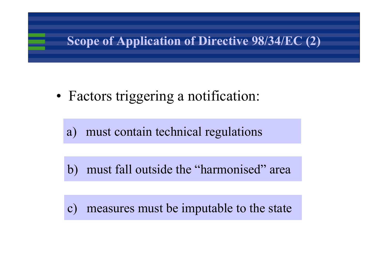#### **Scope of Application of Directive 98/34/EC (2)**

• Factors triggering a notification:

a) must contain technical regulations

b) must fall outside the "harmonised" area

c) measures must be imputable to the state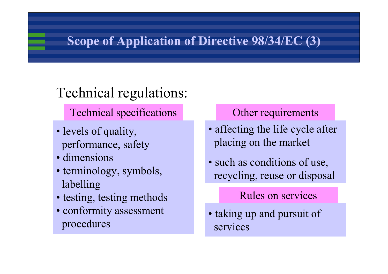#### **Scope of Application of Directive 98/34/EC (3)**

# Technical regulations:

Technical specifications **Other requirements** 

- levels of quality, performance, safety
- dimensions
- terminology, symbols, labelling
- testing, testing methods
- conformity assessment procedures

- affecting the life cycle after placing on the market
- such as conditions of use, recycling, reuse or disposal

#### Rules on services

• taking up and pursuit of services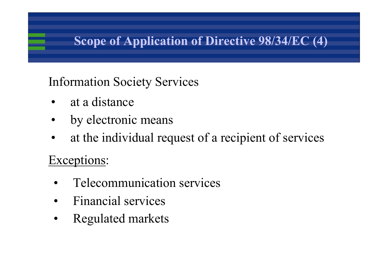#### **Scope of Application of Directive 98/34/EC (4)**

#### Information Society Services

- •at a distance
- •by electronic means
- •at the individual request of a recipient of services

#### Exceptions:

- •Telecommunication services
- $\bullet$ Financial services
- $\bullet$ Regulated markets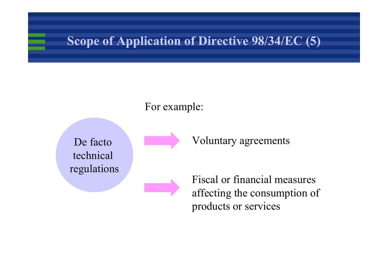#### **Scope of Application of Directive 98/34/EC (5)**

#### For example:

De facto technical regulations Voluntary agreements

Fiscal or financial measures affecting the consumption of products or services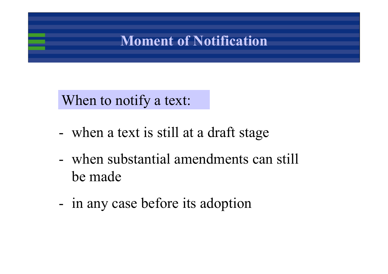#### **Moment of Notification**

#### When to notify a text:

- when a text is still at a draft stage
- when substantial amendments can still be made
- in any case before its adoption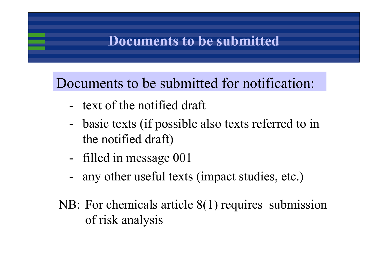#### **Documents to be submitted**

Documents to be submitted for notification:

- text of the notified draft
- basic texts (if possible also texts referred to in the notified draft)
- filled in message 001
- any other useful texts (impact studies, etc.)
- NB: For chemicals article 8(1) requires submission of risk analysis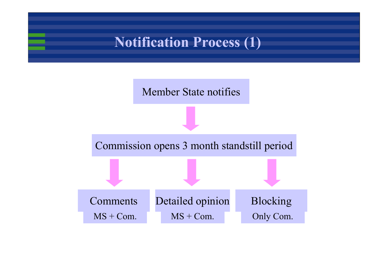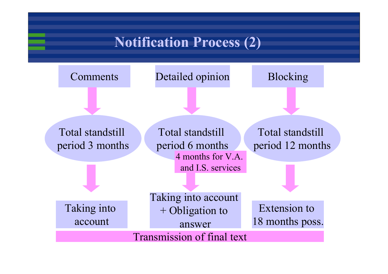#### **Notification Process (2)**

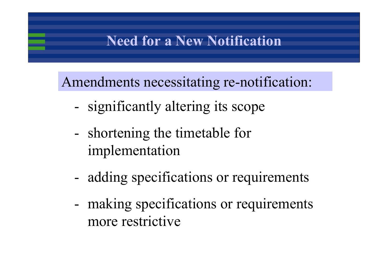#### **Need for a New Notification**

Amendments necessitating re-notification:

- significantly altering its scope
- shortening the timetable for implementation
- adding specifications or requirements
- making specifications or requirements more restrictive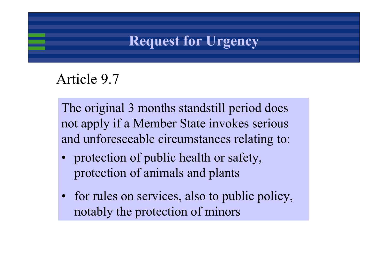#### **Request for Urgency**

#### Article 9.7

The original 3 months standstill period does not apply if a Member State invokes serious and unforeseeable circumstances relating to:

- • protection of public health or safety, protection of animals and plants
- for rules on services, also to public policy, notably the protection of minors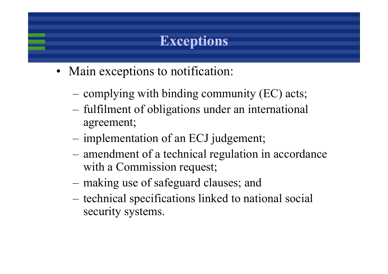## **Exceptions**

- Main exceptions to notification:
	- –complying with binding community (EC) acts;
	- – fulfilment of obligations under an international agreement;
	- –implementation of an ECJ judgement;
	- – amendment of a technical regulation in accordance with a Commission request;
	- –making use of safeguard clauses; and
	- technical specifications linked to national social security systems.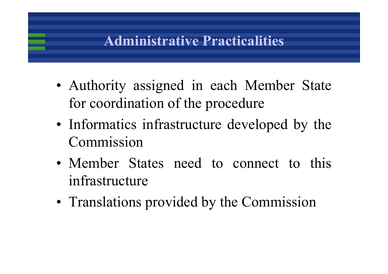#### **Administrative Practicalities**

- Authority assigned in each Member State for coordination of the procedure
- Informatics infrastructure developed by the Commission
- Member States need to connect to this infrastructure
- Translations provided by the Commission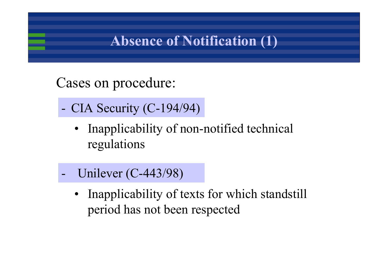#### **Absence of Notification (1)**

#### Cases on procedure:

- - CIA Security (C-194/94)
	- Inapplicability of non-notified technical regulations
- - Unilever (C-443/98)
	- Inapplicability of texts for which standstill period has not been respected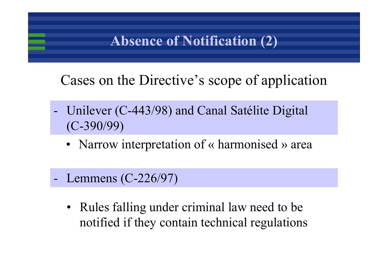#### **Absence of Notification (2)**

Cases on the Directive's scope of application

- Unilever (C-443/98) and Canal Satélite Digital (C-390/99)
	- Narrow interpretation of « harmonised » area
- Lemmens (C-226/97)
	- Rules falling under criminal law need to be notified if they contain technical regulations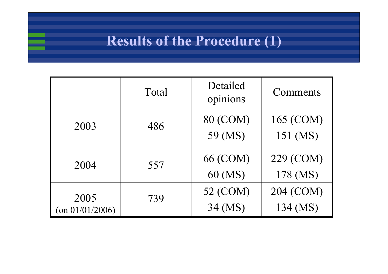### **Results of the Procedure (1)**

|                                    | Total | Detailed<br>opinions | Comments              |
|------------------------------------|-------|----------------------|-----------------------|
| 2003                               | 486   | 80 (COM)<br>59 (MS)  | 165 (COM)<br>151 (MS) |
| 2004                               | 557   | 66 (COM)<br>60 (MS)  | 229 (COM)<br>178 (MS) |
| 2005<br>$\frac{(on\ 01}{01/2006})$ | 739   | 52 (COM)<br>34 (MS)  | 204 (COM)<br>134 (MS) |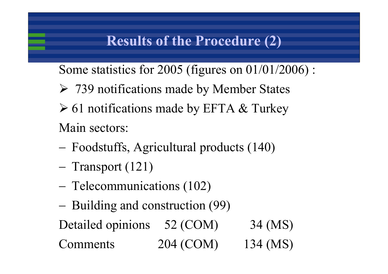Some statistics for 2005 (figures on 01/01/2006) :

- ¾ 739 notifications made by Member States
- $\geq 61$  notifications made by EFTA & Turkey Main sectors:
- Foodstuffs, Agricultural products (140)
- Transport (121)
- Telecommunications (102)
- Building and construction (99)

Detailed opinions 52 (COM) 34 (MS)

Comments 204 (COM) 134 (MS)